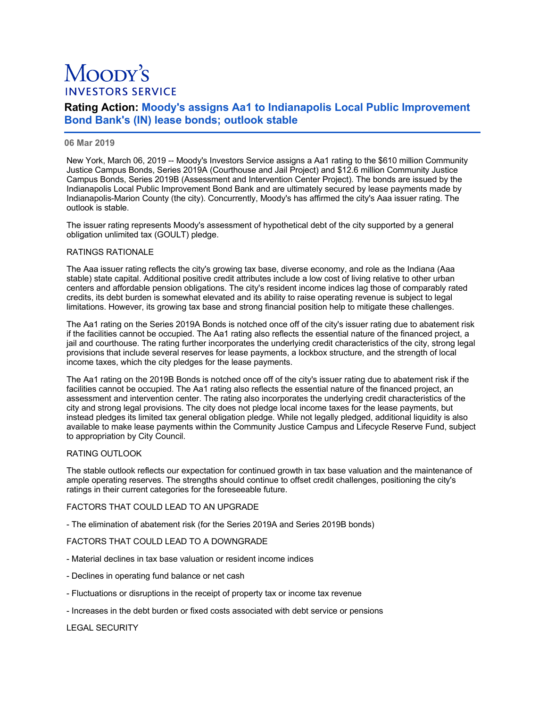# Moopy's **INVESTORS SERVICE**

# **Rating Action: Moody's assigns Aa1 to Indianapolis Local Public Improvement Bond Bank's (IN) lease bonds; outlook stable**

## **06 Mar 2019**

New York, March 06, 2019 -- Moody's Investors Service assigns a Aa1 rating to the \$610 million Community Justice Campus Bonds, Series 2019A (Courthouse and Jail Project) and \$12.6 million Community Justice Campus Bonds, Series 2019B (Assessment and Intervention Center Project). The bonds are issued by the Indianapolis Local Public Improvement Bond Bank and are ultimately secured by lease payments made by Indianapolis-Marion County (the city). Concurrently, Moody's has affirmed the city's Aaa issuer rating. The outlook is stable.

The issuer rating represents Moody's assessment of hypothetical debt of the city supported by a general obligation unlimited tax (GOULT) pledge.

### RATINGS RATIONALE

The Aaa issuer rating reflects the city's growing tax base, diverse economy, and role as the Indiana (Aaa stable) state capital. Additional positive credit attributes include a low cost of living relative to other urban centers and affordable pension obligations. The city's resident income indices lag those of comparably rated credits, its debt burden is somewhat elevated and its ability to raise operating revenue is subject to legal limitations. However, its growing tax base and strong financial position help to mitigate these challenges.

The Aa1 rating on the Series 2019A Bonds is notched once off of the city's issuer rating due to abatement risk if the facilities cannot be occupied. The Aa1 rating also reflects the essential nature of the financed project, a jail and courthouse. The rating further incorporates the underlying credit characteristics of the city, strong legal provisions that include several reserves for lease payments, a lockbox structure, and the strength of local income taxes, which the city pledges for the lease payments.

The Aa1 rating on the 2019B Bonds is notched once off of the city's issuer rating due to abatement risk if the facilities cannot be occupied. The Aa1 rating also reflects the essential nature of the financed project, an assessment and intervention center. The rating also incorporates the underlying credit characteristics of the city and strong legal provisions. The city does not pledge local income taxes for the lease payments, but instead pledges its limited tax general obligation pledge. While not legally pledged, additional liquidity is also available to make lease payments within the Community Justice Campus and Lifecycle Reserve Fund, subject to appropriation by City Council.

#### RATING OUTLOOK

The stable outlook reflects our expectation for continued growth in tax base valuation and the maintenance of ample operating reserves. The strengths should continue to offset credit challenges, positioning the city's ratings in their current categories for the foreseeable future.

#### FACTORS THAT COULD LEAD TO AN UPGRADE

- The elimination of abatement risk (for the Series 2019A and Series 2019B bonds)

#### FACTORS THAT COULD LEAD TO A DOWNGRADE

- Material declines in tax base valuation or resident income indices
- Declines in operating fund balance or net cash
- Fluctuations or disruptions in the receipt of property tax or income tax revenue
- Increases in the debt burden or fixed costs associated with debt service or pensions

#### LEGAL SECURITY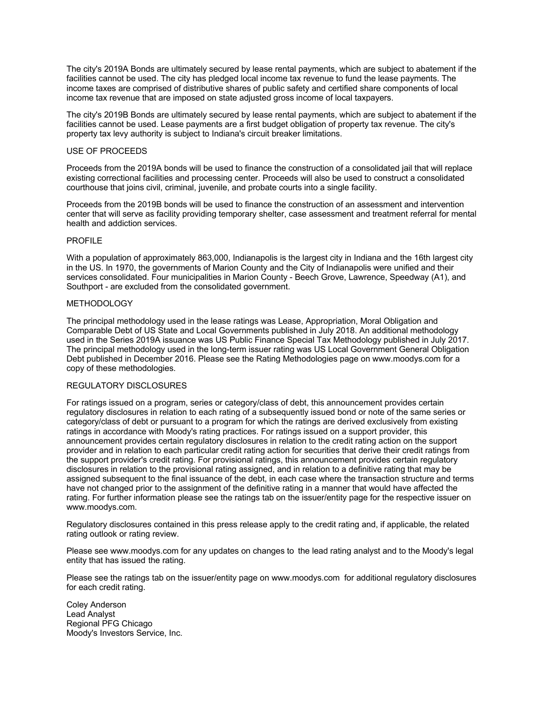The city's 2019A Bonds are ultimately secured by lease rental payments, which are subject to abatement if the facilities cannot be used. The city has pledged local income tax revenue to fund the lease payments. The income taxes are comprised of distributive shares of public safety and certified share components of local income tax revenue that are imposed on state adjusted gross income of local taxpayers.

The city's 2019B Bonds are ultimately secured by lease rental payments, which are subject to abatement if the facilities cannot be used. Lease payments are a first budget obligation of property tax revenue. The city's property tax levy authority is subject to Indiana's circuit breaker limitations.

#### USE OF PROCEEDS

Proceeds from the 2019A bonds will be used to finance the construction of a consolidated jail that will replace existing correctional facilities and processing center. Proceeds will also be used to construct a consolidated courthouse that joins civil, criminal, juvenile, and probate courts into a single facility.

Proceeds from the 2019B bonds will be used to finance the construction of an assessment and intervention center that will serve as facility providing temporary shelter, case assessment and treatment referral for mental health and addiction services.

#### PROFILE

With a population of approximately 863,000, Indianapolis is the largest city in Indiana and the 16th largest city in the US. In 1970, the governments of Marion County and the City of Indianapolis were unified and their services consolidated. Four municipalities in Marion County - Beech Grove, Lawrence, Speedway (A1), and Southport - are excluded from the consolidated government.

#### METHODOLOGY

The principal methodology used in the lease ratings was Lease, Appropriation, Moral Obligation and Comparable Debt of US State and Local Governments published in July 2018. An additional methodology used in the Series 2019A issuance was US Public Finance Special Tax Methodology published in July 2017. The principal methodology used in the long-term issuer rating was US Local Government General Obligation Debt published in December 2016. Please see the Rating Methodologies page on www.moodys.com for a copy of these methodologies.

#### REGULATORY DISCLOSURES

For ratings issued on a program, series or category/class of debt, this announcement provides certain regulatory disclosures in relation to each rating of a subsequently issued bond or note of the same series or category/class of debt or pursuant to a program for which the ratings are derived exclusively from existing ratings in accordance with Moody's rating practices. For ratings issued on a support provider, this announcement provides certain regulatory disclosures in relation to the credit rating action on the support provider and in relation to each particular credit rating action for securities that derive their credit ratings from the support provider's credit rating. For provisional ratings, this announcement provides certain regulatory disclosures in relation to the provisional rating assigned, and in relation to a definitive rating that may be assigned subsequent to the final issuance of the debt, in each case where the transaction structure and terms have not changed prior to the assignment of the definitive rating in a manner that would have affected the rating. For further information please see the ratings tab on the issuer/entity page for the respective issuer on www.moodys.com.

Regulatory disclosures contained in this press release apply to the credit rating and, if applicable, the related rating outlook or rating review.

Please see www.moodys.com for any updates on changes to the lead rating analyst and to the Moody's legal entity that has issued the rating.

Please see the ratings tab on the issuer/entity page on www.moodys.com for additional regulatory disclosures for each credit rating.

Coley Anderson Lead Analyst Regional PFG Chicago Moody's Investors Service, Inc.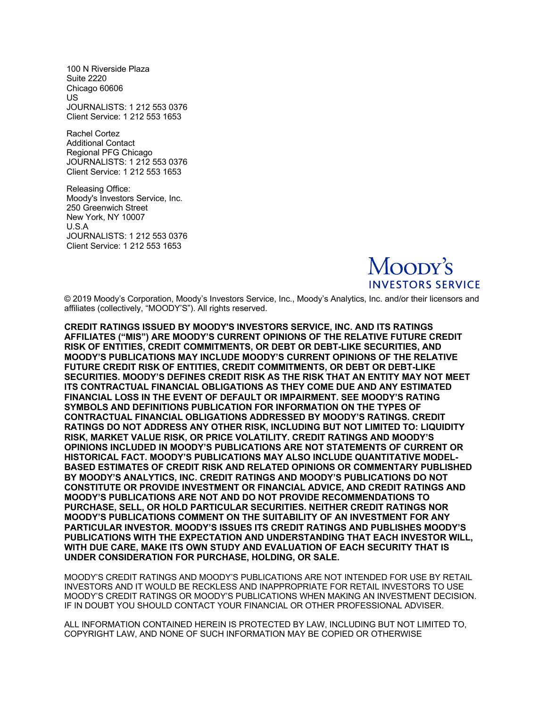100 N Riverside Plaza Suite 2220 Chicago 60606 US JOURNALISTS: 1 212 553 0376 Client Service: 1 212 553 1653

Rachel Cortez Additional Contact Regional PFG Chicago JOURNALISTS: 1 212 553 0376 Client Service: 1 212 553 1653

Releasing Office: Moody's Investors Service, Inc. 250 Greenwich Street New York, NY 10007 U.S.A JOURNALISTS: 1 212 553 0376 Client Service: 1 212 553 1653

© 2019 Moody's Corporation, Moody's Investors Service, Inc., Moody's Analytics, Inc. and/or their licensors and affiliates (collectively, "MOODY'S"). All rights reserved.

Moopy's

**INVESTORS SERVICE** 

**CREDIT RATINGS ISSUED BY MOODY'S INVESTORS SERVICE, INC. AND ITS RATINGS AFFILIATES ("MIS") ARE MOODY'S CURRENT OPINIONS OF THE RELATIVE FUTURE CREDIT RISK OF ENTITIES, CREDIT COMMITMENTS, OR DEBT OR DEBT-LIKE SECURITIES, AND MOODY'S PUBLICATIONS MAY INCLUDE MOODY'S CURRENT OPINIONS OF THE RELATIVE FUTURE CREDIT RISK OF ENTITIES, CREDIT COMMITMENTS, OR DEBT OR DEBT-LIKE SECURITIES. MOODY'S DEFINES CREDIT RISK AS THE RISK THAT AN ENTITY MAY NOT MEET ITS CONTRACTUAL FINANCIAL OBLIGATIONS AS THEY COME DUE AND ANY ESTIMATED FINANCIAL LOSS IN THE EVENT OF DEFAULT OR IMPAIRMENT. SEE MOODY'S RATING SYMBOLS AND DEFINITIONS PUBLICATION FOR INFORMATION ON THE TYPES OF CONTRACTUAL FINANCIAL OBLIGATIONS ADDRESSED BY MOODY'S RATINGS. CREDIT RATINGS DO NOT ADDRESS ANY OTHER RISK, INCLUDING BUT NOT LIMITED TO: LIQUIDITY RISK, MARKET VALUE RISK, OR PRICE VOLATILITY. CREDIT RATINGS AND MOODY'S OPINIONS INCLUDED IN MOODY'S PUBLICATIONS ARE NOT STATEMENTS OF CURRENT OR HISTORICAL FACT. MOODY'S PUBLICATIONS MAY ALSO INCLUDE QUANTITATIVE MODEL-BASED ESTIMATES OF CREDIT RISK AND RELATED OPINIONS OR COMMENTARY PUBLISHED BY MOODY'S ANALYTICS, INC. CREDIT RATINGS AND MOODY'S PUBLICATIONS DO NOT CONSTITUTE OR PROVIDE INVESTMENT OR FINANCIAL ADVICE, AND CREDIT RATINGS AND MOODY'S PUBLICATIONS ARE NOT AND DO NOT PROVIDE RECOMMENDATIONS TO PURCHASE, SELL, OR HOLD PARTICULAR SECURITIES. NEITHER CREDIT RATINGS NOR MOODY'S PUBLICATIONS COMMENT ON THE SUITABILITY OF AN INVESTMENT FOR ANY PARTICULAR INVESTOR. MOODY'S ISSUES ITS CREDIT RATINGS AND PUBLISHES MOODY'S PUBLICATIONS WITH THE EXPECTATION AND UNDERSTANDING THAT EACH INVESTOR WILL, WITH DUE CARE, MAKE ITS OWN STUDY AND EVALUATION OF EACH SECURITY THAT IS UNDER CONSIDERATION FOR PURCHASE, HOLDING, OR SALE.** 

MOODY'S CREDIT RATINGS AND MOODY'S PUBLICATIONS ARE NOT INTENDED FOR USE BY RETAIL INVESTORS AND IT WOULD BE RECKLESS AND INAPPROPRIATE FOR RETAIL INVESTORS TO USE MOODY'S CREDIT RATINGS OR MOODY'S PUBLICATIONS WHEN MAKING AN INVESTMENT DECISION. IF IN DOUBT YOU SHOULD CONTACT YOUR FINANCIAL OR OTHER PROFESSIONAL ADVISER.

ALL INFORMATION CONTAINED HEREIN IS PROTECTED BY LAW, INCLUDING BUT NOT LIMITED TO, COPYRIGHT LAW, AND NONE OF SUCH INFORMATION MAY BE COPIED OR OTHERWISE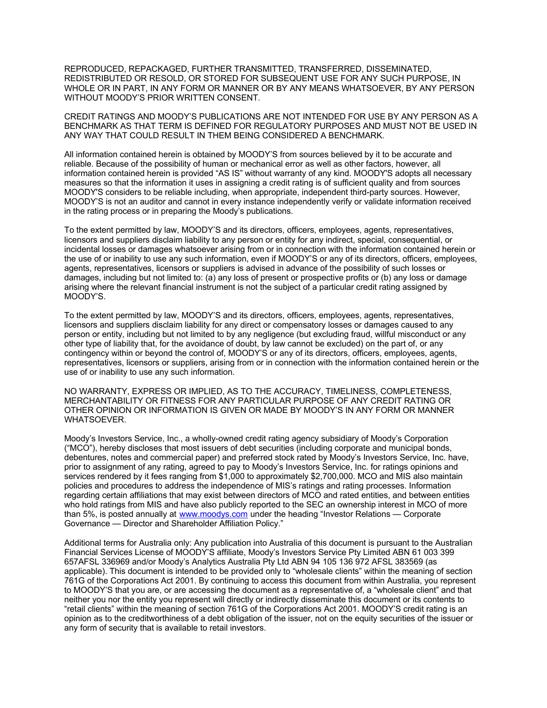REPRODUCED, REPACKAGED, FURTHER TRANSMITTED, TRANSFERRED, DISSEMINATED, REDISTRIBUTED OR RESOLD, OR STORED FOR SUBSEQUENT USE FOR ANY SUCH PURPOSE, IN WHOLE OR IN PART, IN ANY FORM OR MANNER OR BY ANY MEANS WHATSOEVER, BY ANY PERSON WITHOUT MOODY'S PRIOR WRITTEN CONSENT.

CREDIT RATINGS AND MOODY'S PUBLICATIONS ARE NOT INTENDED FOR USE BY ANY PERSON AS A BENCHMARK AS THAT TERM IS DEFINED FOR REGULATORY PURPOSES AND MUST NOT BE USED IN ANY WAY THAT COULD RESULT IN THEM BEING CONSIDERED A BENCHMARK.

All information contained herein is obtained by MOODY'S from sources believed by it to be accurate and reliable. Because of the possibility of human or mechanical error as well as other factors, however, all information contained herein is provided "AS IS" without warranty of any kind. MOODY'S adopts all necessary measures so that the information it uses in assigning a credit rating is of sufficient quality and from sources MOODY'S considers to be reliable including, when appropriate, independent third-party sources. However, MOODY'S is not an auditor and cannot in every instance independently verify or validate information received in the rating process or in preparing the Moody's publications.

To the extent permitted by law, MOODY'S and its directors, officers, employees, agents, representatives, licensors and suppliers disclaim liability to any person or entity for any indirect, special, consequential, or incidental losses or damages whatsoever arising from or in connection with the information contained herein or the use of or inability to use any such information, even if MOODY'S or any of its directors, officers, employees, agents, representatives, licensors or suppliers is advised in advance of the possibility of such losses or damages, including but not limited to: (a) any loss of present or prospective profits or (b) any loss or damage arising where the relevant financial instrument is not the subject of a particular credit rating assigned by MOODY'S.

To the extent permitted by law, MOODY'S and its directors, officers, employees, agents, representatives, licensors and suppliers disclaim liability for any direct or compensatory losses or damages caused to any person or entity, including but not limited to by any negligence (but excluding fraud, willful misconduct or any other type of liability that, for the avoidance of doubt, by law cannot be excluded) on the part of, or any contingency within or beyond the control of, MOODY'S or any of its directors, officers, employees, agents, representatives, licensors or suppliers, arising from or in connection with the information contained herein or the use of or inability to use any such information.

NO WARRANTY, EXPRESS OR IMPLIED, AS TO THE ACCURACY, TIMELINESS, COMPLETENESS, MERCHANTABILITY OR FITNESS FOR ANY PARTICULAR PURPOSE OF ANY CREDIT RATING OR OTHER OPINION OR INFORMATION IS GIVEN OR MADE BY MOODY'S IN ANY FORM OR MANNER WHATSOEVER.

Moody's Investors Service, Inc., a wholly-owned credit rating agency subsidiary of Moody's Corporation ("MCO"), hereby discloses that most issuers of debt securities (including corporate and municipal bonds, debentures, notes and commercial paper) and preferred stock rated by Moody's Investors Service, Inc. have, prior to assignment of any rating, agreed to pay to Moody's Investors Service, Inc. for ratings opinions and services rendered by it fees ranging from \$1,000 to approximately \$2,700,000. MCO and MIS also maintain policies and procedures to address the independence of MIS's ratings and rating processes. Information regarding certain affiliations that may exist between directors of MCO and rated entities, and between entities who hold ratings from MIS and have also publicly reported to the SEC an ownership interest in MCO of more than 5%, is posted annually at [www.moodys.com](https://www.moodys.com/Lists/MiscellaneousConfigurations/EditForm.aspx?ID=6&ContentTypeId=0x01003E2E20872FDB40ECB271C1AE14084ACD00A1FDA31ED080364EBCA76C38EFA23D88&IsDlg=1) under the heading "Investor Relations — Corporate Governance — Director and Shareholder Affiliation Policy."

Additional terms for Australia only: Any publication into Australia of this document is pursuant to the Australian Financial Services License of MOODY'S affiliate, Moody's Investors Service Pty Limited ABN 61 003 399 657AFSL 336969 and/or Moody's Analytics Australia Pty Ltd ABN 94 105 136 972 AFSL 383569 (as applicable). This document is intended to be provided only to "wholesale clients" within the meaning of section 761G of the Corporations Act 2001. By continuing to access this document from within Australia, you represent to MOODY'S that you are, or are accessing the document as a representative of, a "wholesale client" and that neither you nor the entity you represent will directly or indirectly disseminate this document or its contents to "retail clients" within the meaning of section 761G of the Corporations Act 2001. MOODY'S credit rating is an opinion as to the creditworthiness of a debt obligation of the issuer, not on the equity securities of the issuer or any form of security that is available to retail investors.